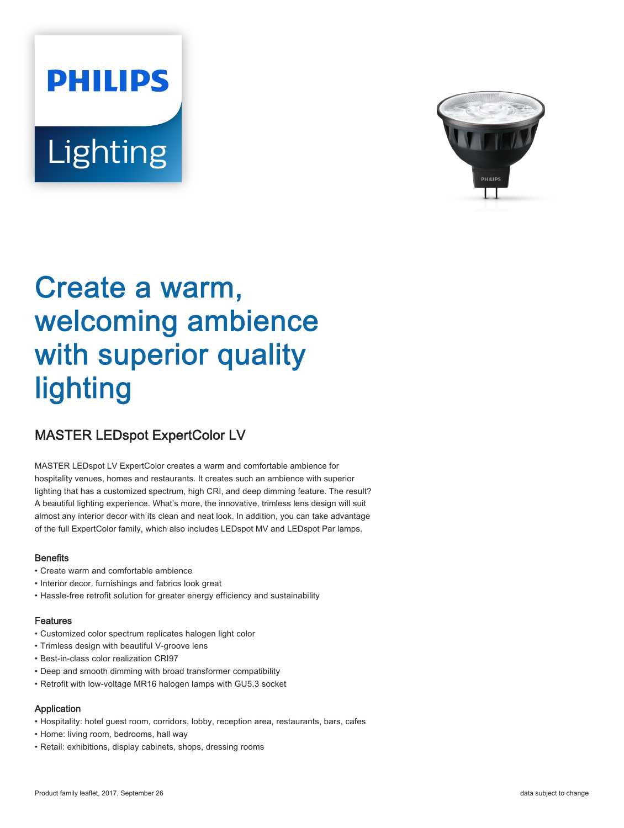# **PHILIPS** Lighting



# Create a warm, welcoming ambience with superior quality lighting

## MASTER LEDspot ExpertColor LV

MASTER LEDspot LV ExpertColor creates a warm and comfortable ambience for hospitality venues, homes and restaurants. It creates such an ambience with superior lighting that has a customized spectrum, high CRI, and deep dimming feature. The result? A beautiful lighting experience. What's more, the innovative, trimless lens design will suit almost any interior decor with its clean and neat look. In addition, you can take advantage of the full ExpertColor family, which also includes LEDspot MV and LEDspot Par lamps.

#### **Benefits**

- Create warm and comfortable ambience
- Interior decor, furnishings and fabrics look great
- Hassle-free retrofit solution for greater energy efficiency and sustainability

#### Features

- Customized color spectrum replicates halogen light color
- Trimless design with beautiful V-groove lens
- Best-in-class color realization CRI97
- Deep and smooth dimming with broad transformer compatibility
- Retrofit with low-voltage MR16 halogen lamps with GU5.3 socket

#### Application

- Hospitality: hotel guest room, corridors, lobby, reception area, restaurants, bars, cafes
- Home: living room, bedrooms, hall way
- Retail: exhibitions, display cabinets, shops, dressing rooms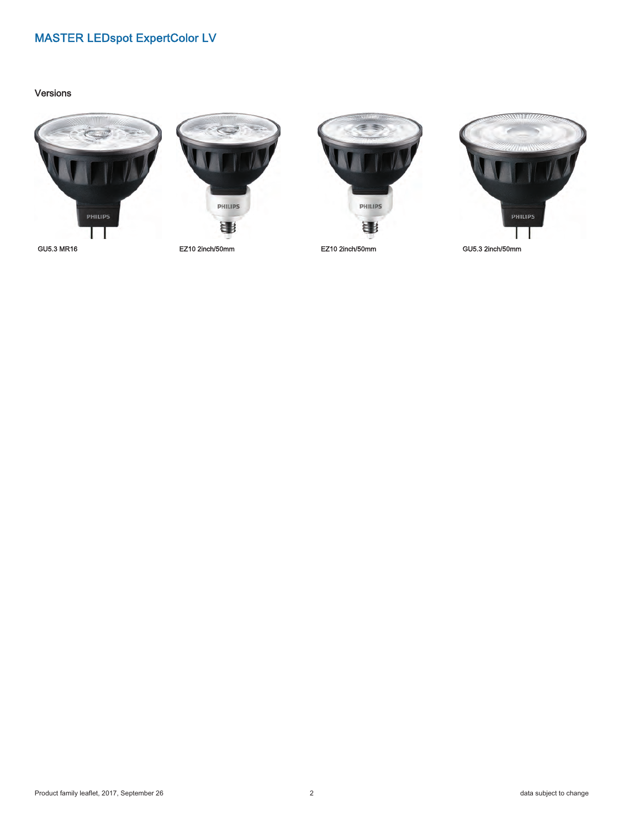#### Versions











GU5.3 MR16 EZ10 2inch/50mm EZ10 2inch/50mm GU5.3 2inch/50mm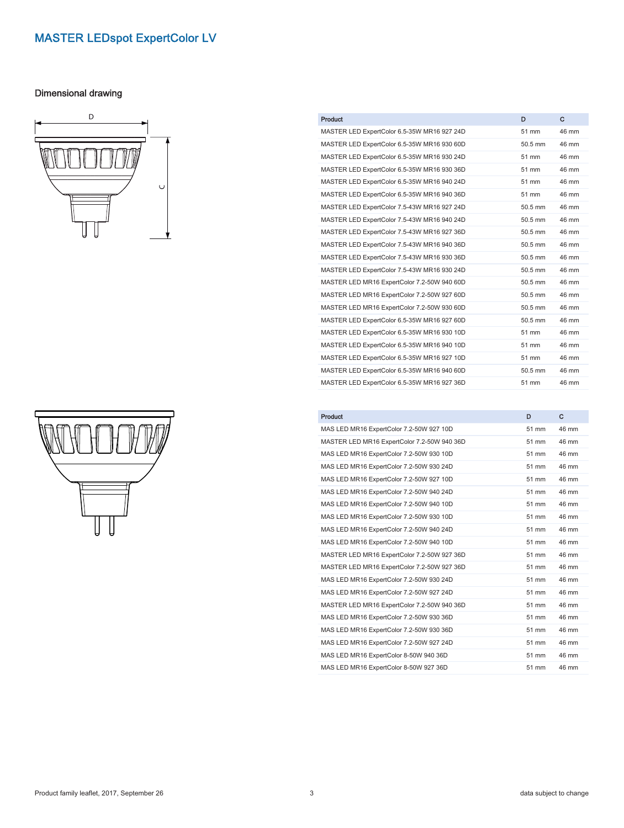#### Dimensional drawing





| <b>Product</b>                              | D         | C     |
|---------------------------------------------|-----------|-------|
| MASTER LED ExpertColor 6.5-35W MR16 927 24D | 51 mm     | 46 mm |
| MASTER LED ExpertColor 6.5-35W MR16 930 60D | $50.5$ mm | 46 mm |
| MASTER LED ExpertColor 6.5-35W MR16 930 24D | 51 mm     | 46 mm |
| MASTER LED ExpertColor 6.5-35W MR16 930 36D | 51 mm     | 46 mm |
| MASTER LED ExpertColor 6.5-35W MR16 940 24D | 51 mm     | 46 mm |
| MASTER LED ExpertColor 6.5-35W MR16 940 36D | 51 mm     | 46 mm |
| MASTER LED ExpertColor 7.5-43W MR16 927 24D | 50.5 mm   | 46 mm |
| MASTER LED ExpertColor 7.5-43W MR16 940 24D | 50.5 mm   | 46 mm |
| MASTER LED ExpertColor 7.5-43W MR16 927 36D | 50.5 mm   | 46 mm |
| MASTER LED ExpertColor 7.5-43W MR16 940 36D | 50.5 mm   | 46 mm |
| MASTER LED ExpertColor 7.5-43W MR16 930 36D | 50.5 mm   | 46 mm |
| MASTER LED ExpertColor 7.5-43W MR16 930 24D | 50.5 mm   | 46 mm |
| MASTER LED MR16 ExpertColor 7.2-50W 940 60D | 50.5 mm   | 46 mm |
| MASTER LED MR16 ExpertColor 7.2-50W 927 60D | 50.5 mm   | 46 mm |
| MASTER LED MR16 ExpertColor 7.2-50W 930 60D | 50.5 mm   | 46 mm |
| MASTER LED ExpertColor 6.5-35W MR16 927 60D | 50.5 mm   | 46 mm |
| MASTER LED ExpertColor 6.5-35W MR16 930 10D | 51 mm     | 46 mm |
| MASTER LED ExpertColor 6.5-35W MR16 940 10D | 51 mm     | 46 mm |
| MASTER LED ExpertColor 6.5-35W MR16 927 10D | 51 mm     | 46 mm |
| MASTER LED ExpertColor 6.5-35W MR16 940 60D | 50.5 mm   | 46 mm |
| MASTER LED ExpertColor 6.5-35W MR16 927 36D | 51 mm     | 46 mm |

| <b>Product</b>                              | D     | c     |
|---------------------------------------------|-------|-------|
| MAS LED MR16 ExpertColor 7.2-50W 927 10D    | 51 mm | 46 mm |
| MASTER LED MR16 ExpertColor 7.2-50W 940 36D | 51 mm | 46 mm |
| MAS LED MR16 ExpertColor 7.2-50W 930 10D    | 51 mm | 46 mm |
| MAS LED MR16 ExpertColor 7.2-50W 930 24D    | 51 mm | 46 mm |
| MAS LED MR16 ExpertColor 7.2-50W 927 10D    | 51 mm | 46 mm |
| MAS LED MR16 ExpertColor 7.2-50W 940 24D    | 51 mm | 46 mm |
| MAS LED MR16 ExpertColor 7.2-50W 940 10D    | 51 mm | 46 mm |
| MAS LED MR16 ExpertColor 7.2-50W 930 10D    | 51 mm | 46 mm |
| MAS LED MR16 ExpertColor 7.2-50W 940 24D    | 51 mm | 46 mm |
| MAS LED MR16 ExpertColor 7.2-50W 940 10D    | 51 mm | 46 mm |
| MASTER LED MR16 ExpertColor 7.2-50W 927 36D | 51 mm | 46 mm |
| MASTER LED MR16 ExpertColor 7.2-50W 927 36D | 51 mm | 46 mm |
| MAS LED MR16 ExpertColor 7.2-50W 930 24D    | 51 mm | 46 mm |
| MAS LED MR16 ExpertColor 7.2-50W 927 24D    | 51 mm | 46 mm |
| MASTER LED MR16 ExpertColor 7.2-50W 940 36D | 51 mm | 46 mm |
| MAS LED MR16 ExpertColor 7.2-50W 930 36D    | 51 mm | 46 mm |
| MAS LED MR16 ExpertColor 7.2-50W 930 36D    | 51 mm | 46 mm |
| MAS LED MR16 ExpertColor 7.2-50W 927 24D    | 51 mm | 46 mm |
| MAS LED MR16 ExpertColor 8-50W 940 36D      | 51 mm | 46 mm |
| MAS LED MR16 ExpertColor 8-50W 927 36D      | 51 mm | 46 mm |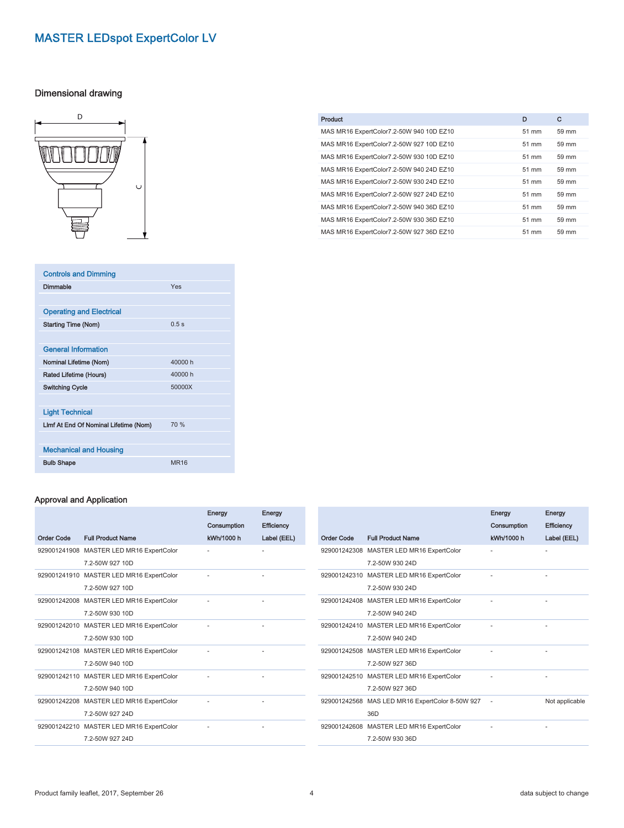#### Dimensional drawing



| <b>Controls and Dimming</b>           |             |
|---------------------------------------|-------------|
| Dimmable                              | Yes         |
|                                       |             |
| <b>Operating and Electrical</b>       |             |
| <b>Starting Time (Nom)</b>            | 0.5s        |
|                                       |             |
| <b>General Information</b>            |             |
| Nominal Lifetime (Nom)                | 40000 h     |
| Rated Lifetime (Hours)                | 40000 h     |
| <b>Switching Cycle</b>                | 50000X      |
|                                       |             |
| <b>Light Technical</b>                |             |
| Limf At End Of Nominal Lifetime (Nom) | 70 %        |
|                                       |             |
| <b>Mechanical and Housing</b>         |             |
| <b>Bulb Shape</b>                     | <b>MR16</b> |

#### Approval and Application

|                   |                                          | <b>Energy</b><br>Consumption | <b>Energy</b><br><b>Efficiency</b> |
|-------------------|------------------------------------------|------------------------------|------------------------------------|
| <b>Order Code</b> | <b>Full Product Name</b>                 | kWh/1000 h                   | Label (EEL)                        |
| 929001241908      | MASTER LED MR16 ExpertColor              |                              |                                    |
|                   | 7.2-50W 927 10D                          |                              |                                    |
|                   | 929001241910 MASTER LED MR16 ExpertColor |                              |                                    |
|                   | 7.2-50W 927 10D                          |                              |                                    |
|                   | 929001242008 MASTER LED MR16 ExpertColor |                              |                                    |
|                   | 7.2-50W 930 10D                          |                              |                                    |
|                   | 929001242010 MASTER LED MR16 ExpertColor |                              |                                    |
|                   | 7.2-50W 930 10D                          |                              |                                    |
|                   | 929001242108 MASTER LED MR16 ExpertColor |                              |                                    |
|                   | 7.2-50W 940 10D                          |                              |                                    |
|                   | 929001242110 MASTER LED MR16 ExpertColor |                              |                                    |
|                   | 7.2-50W 940 10D                          |                              |                                    |
|                   | 929001242208 MASTER LED MR16 ExpertColor |                              |                                    |
|                   | 7.2-50W 927 24D                          |                              |                                    |
|                   | 929001242210 MASTER LED MR16 ExpertColor |                              |                                    |
|                   | 7.2-50W 927 24D                          |                              |                                    |

Energy

Energy

| <b>Product</b>                           | D     | C     |
|------------------------------------------|-------|-------|
| MAS MR16 ExpertColor7.2-50W 940 10D EZ10 | 51 mm | 59 mm |
| MAS MR16 ExpertColor7.2-50W 927 10D EZ10 | 51 mm | 59 mm |
| MAS MR16 ExpertColor7.2-50W 930 10D EZ10 | 51 mm | 59 mm |
| MAS MR16 ExpertColor7.2-50W 940 24D EZ10 | 51 mm | 59 mm |
| MAS MR16 ExpertColor7.2-50W 930 24D EZ10 | 51 mm | 59 mm |
| MAS MR16 ExpertColor7.2-50W 927 24D EZ10 | 51 mm | 59 mm |
| MAS MR16 ExpertColor7.2-50W 940 36D EZ10 | 51 mm | 59 mm |
| MAS MR16 ExpertColor7.2-50W 930 36D EZ10 | 51 mm | 59 mm |
| MAS MR16 ExpertColor7.2-50W 927 36D EZ10 | 51 mm | 59 mm |

| Order Code | <b>Full Product Name</b>                                    | Energy<br>Consumption<br>kWh/1000 h | Energy<br><b>Efficiency</b><br>Label (EEL) |
|------------|-------------------------------------------------------------|-------------------------------------|--------------------------------------------|
|            | 929001242308 MASTER LED MR16 ExpertColor<br>7.2-50W 930 24D |                                     |                                            |
|            | 929001242310 MASTER LED MR16 ExpertColor<br>7.2-50W 930 24D |                                     |                                            |
|            | 929001242408 MASTER LED MR16 ExpertColor<br>7.2-50W 940 24D |                                     |                                            |
|            | 929001242410 MASTER LED MR16 ExpertColor<br>7.2-50W 940 24D |                                     |                                            |
|            | 929001242508 MASTER LED MR16 ExpertColor<br>7.2-50W 927 36D |                                     |                                            |
|            | 929001242510 MASTER LED MR16 ExpertColor<br>7.2-50W 927 36D |                                     |                                            |
|            | 929001242568 MAS LED MR16 ExpertColor 8-50W 927<br>36D      |                                     | Not applicable                             |
|            | 929001242608 MASTER LED MR16 ExpertColor<br>7.2-50W 930 36D |                                     |                                            |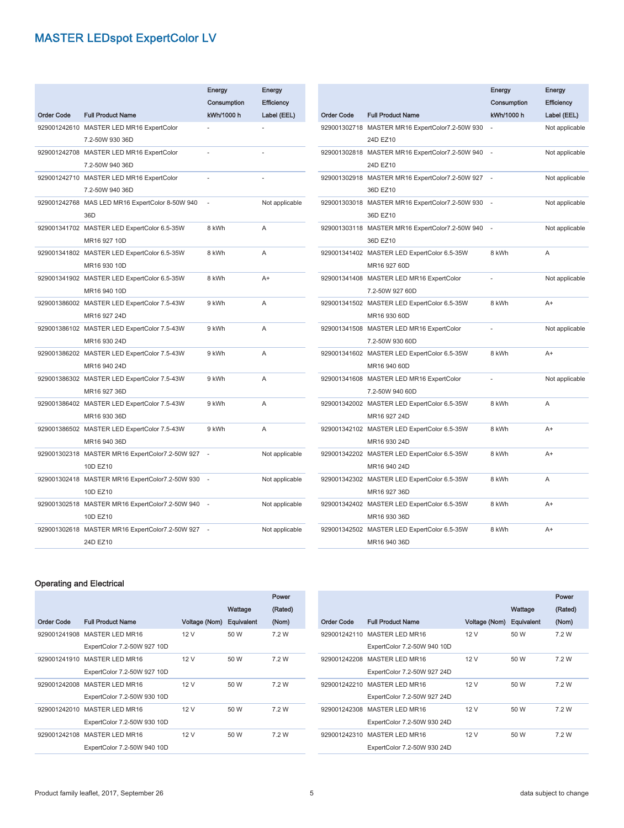|                   |                                                 | Energy      | Energy         |
|-------------------|-------------------------------------------------|-------------|----------------|
|                   |                                                 | Consumption | Efficiency     |
| <b>Order Code</b> | <b>Full Product Name</b>                        | kWh/1000 h  | Label (EEL)    |
|                   | 929001242610 MASTER LED MR16 ExpertColor        |             |                |
|                   | 7.2-50W 930 36D                                 |             |                |
|                   | 929001242708 MASTER LED MR16 ExpertColor        |             |                |
|                   | 7.2-50W 940 36D                                 |             |                |
|                   | 929001242710 MASTER LED MR16 ExpertColor        |             |                |
|                   | 7.2-50W 940 36D                                 |             |                |
|                   | 929001242768 MAS LED MR16 ExpertColor 8-50W 940 |             | Not applicable |
|                   | 36D                                             |             |                |
|                   | 929001341702 MASTER LED ExpertColor 6.5-35W     | 8 kWh       | A              |
|                   | MR16 927 10D                                    |             |                |
|                   | 929001341802 MASTER LED ExpertColor 6.5-35W     | 8 kWh       | A              |
|                   | MR16 930 10D                                    |             |                |
|                   | 929001341902 MASTER LED ExpertColor 6.5-35W     | 8 kWh       | A+             |
|                   | MR16 940 10D                                    |             |                |
|                   | 929001386002 MASTER LED ExpertColor 7.5-43W     | 9 kWh       | A              |
|                   | MR16 927 24D                                    |             |                |
|                   | 929001386102 MASTER LED ExpertColor 7.5-43W     | 9 kWh       | A              |
|                   | MR16 930 24D                                    |             |                |
|                   | 929001386202 MASTER LED ExpertColor 7.5-43W     | 9 kWh       | A              |
|                   | MR16 940 24D                                    |             |                |
|                   | 929001386302 MASTER LED ExpertColor 7.5-43W     | 9 kWh       | A              |
|                   | MR16 927 36D                                    |             |                |
|                   | 929001386402 MASTER LED ExpertColor 7.5-43W     | 9 kWh       | A              |
|                   | MR16 930 36D                                    |             |                |
|                   | 929001386502 MASTER LED ExpertColor 7.5-43W     | 9 kWh       | A              |
|                   | MR16 940 36D                                    |             |                |
|                   | 929001302318 MASTER MR16 ExpertColor7.2-50W 927 |             | Not applicable |
|                   | 10D EZ10                                        |             |                |
|                   | 929001302418 MASTER MR16 ExpertColor7.2-50W 930 |             | Not applicable |
|                   | 10D EZ10                                        |             |                |
|                   | 929001302518 MASTER MR16 ExpertColor7.2-50W 940 |             | Not applicable |
|                   | 10D EZ10                                        |             |                |
|                   | 929001302618 MASTER MR16 ExpertColor7.2-50W 927 |             | Not applicable |
|                   | 24D EZ10                                        |             |                |

|                   |                                                 | Energy      | Energy         |
|-------------------|-------------------------------------------------|-------------|----------------|
|                   |                                                 | Consumption | Efficiency     |
| <b>Order Code</b> | <b>Full Product Name</b>                        | kWh/1000 h  | Label (EEL)    |
|                   | 929001302718 MASTER MR16 ExpertColor7.2-50W 930 |             | Not applicable |
|                   | 24D EZ10                                        |             |                |
|                   | 929001302818 MASTER MR16 ExpertColor7.2-50W 940 |             | Not applicable |
|                   | 24D EZ10                                        |             |                |
|                   | 929001302918 MASTER MR16 ExpertColor7.2-50W 927 |             | Not applicable |
|                   | 36D EZ10                                        |             |                |
|                   | 929001303018 MASTER MR16 ExpertColor7.2-50W 930 |             | Not applicable |
|                   | 36D EZ10                                        |             |                |
|                   | 929001303118 MASTER MR16 ExpertColor7.2-50W 940 | L,          | Not applicable |
|                   | 36D EZ10                                        |             |                |
|                   | 929001341402 MASTER LED ExpertColor 6.5-35W     | 8 kWh       | A              |
|                   | MR16 927 60D                                    |             |                |
|                   | 929001341408 MASTER LED MR16 ExpertColor        |             | Not applicable |
|                   | 7.2-50W 927 60D                                 |             |                |
|                   | 929001341502 MASTER LED ExpertColor 6.5-35W     | 8 kWh       | $A+$           |
|                   | MR16 930 60D                                    |             |                |
|                   | 929001341508 MASTER LED MR16 ExpertColor        |             | Not applicable |
|                   | 7.2-50W 930 60D                                 |             |                |
|                   | 929001341602 MASTER LED ExpertColor 6.5-35W     | 8 kWh       | $A+$           |
|                   | MR16 940 60D                                    |             |                |
|                   | 929001341608 MASTER LED MR16 ExpertColor        |             | Not applicable |
|                   | 7.2-50W 940 60D                                 |             |                |
|                   | 929001342002 MASTER LED ExpertColor 6.5-35W     | 8 kWh       | A              |
|                   | MR16 927 24D                                    |             |                |
|                   | 929001342102 MASTER LED ExpertColor 6.5-35W     | 8 kWh       | $A+$           |
|                   | MR16 930 24D                                    |             |                |
|                   | 929001342202 MASTER LED ExpertColor 6.5-35W     | 8 kWh       | A+             |
|                   | MR16 940 24D                                    |             |                |
|                   | 929001342302 MASTER LED ExpertColor 6.5-35W     | 8 kWh       | A              |
|                   | MR16 927 36D                                    |             |                |
|                   | 929001342402 MASTER LED ExpertColor 6.5-35W     | 8 kWh       | $A+$           |
|                   | MR16 930 36D                                    |             |                |
|                   | 929001342502 MASTER LED ExpertColor 6.5-35W     | 8 kWh       | $A+$           |
|                   | MR16 940 36D                                    |             |                |

#### Operating and Electrical

|                   |                              |                          |         | Power   |
|-------------------|------------------------------|--------------------------|---------|---------|
|                   |                              |                          | Wattage | (Rated) |
| <b>Order Code</b> | <b>Full Product Name</b>     | Voltage (Nom) Equivalent |         | (Nom)   |
|                   | 929001241908 MASTER LED MR16 | 12 V                     | 50 W    | 7.2 W   |
|                   | ExpertColor 7.2-50W 927 10D  |                          |         |         |
|                   | 929001241910 MASTER LED MR16 | 12 V                     | 50 W    | 7.2 W   |
|                   | ExpertColor 7.2-50W 927 10D  |                          |         |         |
| 929001242008      | MASTER LED MR16              | 12 V                     | 50 W    | 7.2 W   |
|                   | ExpertColor 7.2-50W 930 10D  |                          |         |         |
|                   | 929001242010 MASTER LED MR16 | 12V                      | 50 W    | 7.2 W   |
|                   | ExpertColor 7.2-50W 930 10D  |                          |         |         |
|                   | 929001242108 MASTER LED MR16 | 12 V                     | 50 W    | 7.2 W   |
|                   | ExpertColor 7.2-50W 940 10D  |                          |         |         |

|                   |                              |               |            | Power   |
|-------------------|------------------------------|---------------|------------|---------|
|                   |                              |               | Wattage    | (Rated) |
| <b>Order Code</b> | <b>Full Product Name</b>     | Voltage (Nom) | Equivalent | (Nom)   |
|                   | 929001242110 MASTER LED MR16 | 12 V          | 50 W       | 7.2 W   |
|                   | ExpertColor 7.2-50W 940 10D  |               |            |         |
|                   | 929001242208 MASTER LED MR16 | 12 V          | 50 W       | 7.2 W   |
|                   | ExpertColor 7.2-50W 927 24D  |               |            |         |
|                   | 929001242210 MASTER LED MR16 | 12V           | 50 W       | 7.2 W   |
|                   | ExpertColor 7.2-50W 927 24D  |               |            |         |
| 929001242308      | MASTER LED MR16              | 12 V          | 50 W       | 7.2 W   |
|                   | ExpertColor 7.2-50W 930 24D  |               |            |         |
|                   | 929001242310 MASTER LED MR16 | 12 V          | 50 W       | 7.2 W   |
|                   | ExpertColor 7.2-50W 930 24D  |               |            |         |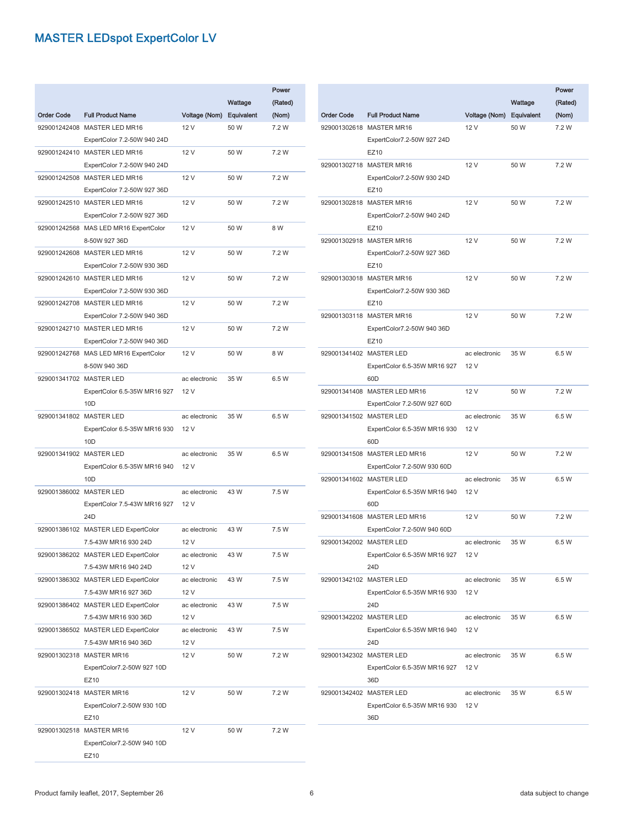|                   |                                       |               |            | Power   |
|-------------------|---------------------------------------|---------------|------------|---------|
|                   |                                       |               | Wattage    | (Rated) |
| <b>Order Code</b> | <b>Full Product Name</b>              | Voltage (Nom) | Equivalent | (Nom)   |
|                   | 929001242408 MASTER LED MR16          | 12 V          | 50 W       | 7.2 W   |
|                   | ExpertColor 7.2-50W 940 24D           |               |            |         |
|                   | 929001242410 MASTER LED MR16          | 12 V          | 50 W       | 7.2 W   |
|                   | ExpertColor 7.2-50W 940 24D           |               |            |         |
|                   | 929001242508 MASTER LED MR16          | 12 V          | 50 W       | 7.2 W   |
|                   | ExpertColor 7.2-50W 927 36D           |               |            |         |
|                   | 929001242510 MASTER LED MR16          | 12 V          | 50 W       | 7.2 W   |
|                   | ExpertColor 7.2-50W 927 36D           |               |            |         |
|                   | 929001242568 MAS LED MR16 ExpertColor | 12 V          | 50 W       | 8 W     |
|                   | 8-50W 927 36D                         |               |            |         |
|                   | 929001242608 MASTER LED MR16          | 12 V          | 50 W       | 7.2 W   |
|                   | ExpertColor 7.2-50W 930 36D           |               |            |         |
|                   | 929001242610 MASTER LED MR16          | 12 V          | 50 W       | 7.2 W   |
|                   | ExpertColor 7.2-50W 930 36D           |               |            |         |
|                   | 929001242708 MASTER LED MR16          | 12 V          | 50 W       | 7.2 W   |
|                   | ExpertColor 7.2-50W 940 36D           |               |            |         |
|                   | 929001242710 MASTER LED MR16          | 12 V          | 50 W       | 7.2 W   |
|                   | ExpertColor 7.2-50W 940 36D           |               |            |         |
|                   | 929001242768 MAS LED MR16 ExpertColor | 12 V          | 50 W       | 8 W     |
|                   | 8-50W 940 36D                         |               |            |         |
|                   | 929001341702 MASTER LED               | ac electronic | 35 W       | 6.5 W   |
|                   | ExpertColor 6.5-35W MR16 927          | 12 V          |            |         |
|                   | 10D                                   |               |            |         |
|                   | 929001341802 MASTER LED               | ac electronic | 35 W       | 6.5 W   |
|                   | ExpertColor 6.5-35W MR16 930          | 12 V          |            |         |
|                   | 10D<br>929001341902 MASTER LED        | ac electronic | 35 W       | 6.5 W   |
|                   | ExpertColor 6.5-35W MR16 940          | 12 V          |            |         |
|                   | 10D                                   |               |            |         |
|                   | 929001386002 MASTER LED               | ac electronic | 43 W       | 7.5 W   |
|                   | ExpertColor 7.5-43W MR16 927          | 12 V          |            |         |
|                   | 24 <sub>D</sub>                       |               |            |         |
|                   | 929001386102 MASTER LED ExpertColor   | ac electronic | 43 W       | 7.5 W   |
|                   | 7.5-43W MR16 930 24D                  | 12 V          |            |         |
|                   | 929001386202 MASTER LED ExpertColor   | ac electronic | 43 W       | 7.5 W   |
|                   | 7.5-43W MR16 940 24D                  | 12 V          |            |         |
|                   | 929001386302 MASTER LED ExpertColor   | ac electronic | 43 W       | 7.5 W   |
|                   | 7.5-43W MR16 927 36D                  | 12 V          |            |         |
|                   | 929001386402 MASTER LED ExpertColor   | ac electronic | 43 W       | 7.5 W   |
|                   | 7.5-43W MR16 930 36D                  | 12 V          |            |         |
|                   | 929001386502 MASTER LED ExpertColor   | ac electronic | 43 W       | 7.5 W   |
|                   | 7.5-43W MR16 940 36D                  | 12 V          |            |         |
|                   | 929001302318 MASTER MR16              | 12 V          | 50 W       | 7.2 W   |
|                   | ExpertColor7.2-50W 927 10D            |               |            |         |
|                   | EZ10                                  |               |            |         |
|                   | 929001302418 MASTER MR16              | 12 V          | 50 W       | 7.2 W   |
|                   | ExpertColor7.2-50W 930 10D            |               |            |         |
|                   | EZ10                                  |               |            |         |
|                   | 929001302518 MASTER MR16              | 12 V          | 50 W       | 7.2 W   |
|                   | ExpertColor7.2-50W 940 10D            |               |            |         |
|                   | EZ10                                  |               |            |         |

|                         |                                                 |                          | Wattage | Power<br>(Rated) |
|-------------------------|-------------------------------------------------|--------------------------|---------|------------------|
| <b>Order Code</b>       | <b>Full Product Name</b>                        | Voltage (Nom) Equivalent |         | (Nom)            |
|                         | 929001302618 MASTER MR16                        | 12 V                     | 50 W    | 7.2 W            |
|                         | ExpertColor7.2-50W 927 24D                      |                          |         |                  |
|                         | EZ10                                            |                          |         |                  |
|                         | 929001302718 MASTER MR16                        | 12 V                     | 50 W    | 7.2 W            |
|                         | ExpertColor7.2-50W 930 24D                      |                          |         |                  |
|                         | EZ10                                            |                          |         |                  |
|                         | 929001302818 MASTER MR16                        | 12 V                     | 50 W    | 7.2 W            |
|                         | ExpertColor7.2-50W 940 24D                      |                          |         |                  |
|                         | EZ10                                            |                          |         |                  |
|                         | 929001302918 MASTER MR16                        | 12 V                     | 50 W    | 7.2 W            |
|                         | ExpertColor7.2-50W 927 36D<br>EZ10              |                          |         |                  |
|                         | 929001303018 MASTER MR16                        | 12 V                     | 50 W    | 7.2 W            |
|                         | ExpertColor7.2-50W 930 36D                      |                          |         |                  |
|                         | EZ10                                            |                          |         |                  |
|                         | 929001303118 MASTER MR16                        | 12 V                     | 50 W    | 7.2 W            |
|                         | ExpertColor7.2-50W 940 36D                      |                          |         |                  |
|                         | EZ10                                            |                          |         |                  |
|                         | 929001341402 MASTER LED                         | ac electronic            | 35 W    | 6.5 W            |
|                         | ExpertColor 6.5-35W MR16 927                    | 12 V                     |         |                  |
|                         | 60 <sub>D</sub>                                 |                          |         |                  |
|                         | 929001341408 MASTER LED MR16                    | 12 V                     | 50 W    | 7.2 W            |
|                         | ExpertColor 7.2-50W 927 60D                     |                          |         |                  |
|                         | 929001341502 MASTER LED                         | ac electronic            | 35 W    | 6.5 W            |
|                         | ExpertColor 6.5-35W MR16 930                    | 12 V                     |         |                  |
|                         | 60 <sub>D</sub>                                 |                          |         |                  |
|                         | 929001341508 MASTER LED MR16                    | 12 V                     | 50 W    | 7.2 W            |
|                         | ExpertColor 7.2-50W 930 60D                     |                          |         |                  |
|                         | 929001341602 MASTER LED                         | ac electronic            | 35 W    | 6.5 W            |
|                         | ExpertColor 6.5-35W MR16 940                    | 12 V                     |         |                  |
|                         | 60 <sub>D</sub><br>929001341608 MASTER LED MR16 |                          | 50 W    | 7.2 W            |
|                         | ExpertColor 7.2-50W 940 60D                     | 12 V                     |         |                  |
| 929001342002 MASTER LED |                                                 | ac electronic            | 35 W    | 6.5 W            |
|                         | ExpertColor 6.5-35W MR16 927 12 V               |                          |         |                  |
|                         | 24D                                             |                          |         |                  |
|                         | 929001342102 MASTER LED                         | ac electronic            | 35 W    | 6.5 W            |
|                         | ExpertColor 6.5-35W MR16 930                    | 12 V                     |         |                  |
|                         | 24D                                             |                          |         |                  |
|                         | 929001342202 MASTER LED                         | ac electronic            | 35 W    | 6.5 W            |
|                         | ExpertColor 6.5-35W MR16 940                    | 12 V                     |         |                  |
|                         | 24D                                             |                          |         |                  |
|                         | 929001342302 MASTER LED                         | ac electronic            | 35 W    | 6.5 W            |
|                         | ExpertColor 6.5-35W MR16 927                    | 12 V                     |         |                  |
|                         | 36D                                             |                          |         |                  |
|                         | 929001342402 MASTER LED                         | ac electronic            | 35 W    | 6.5 W            |
|                         | ExpertColor 6.5-35W MR16 930                    | 12 V                     |         |                  |
|                         | 36D                                             |                          |         |                  |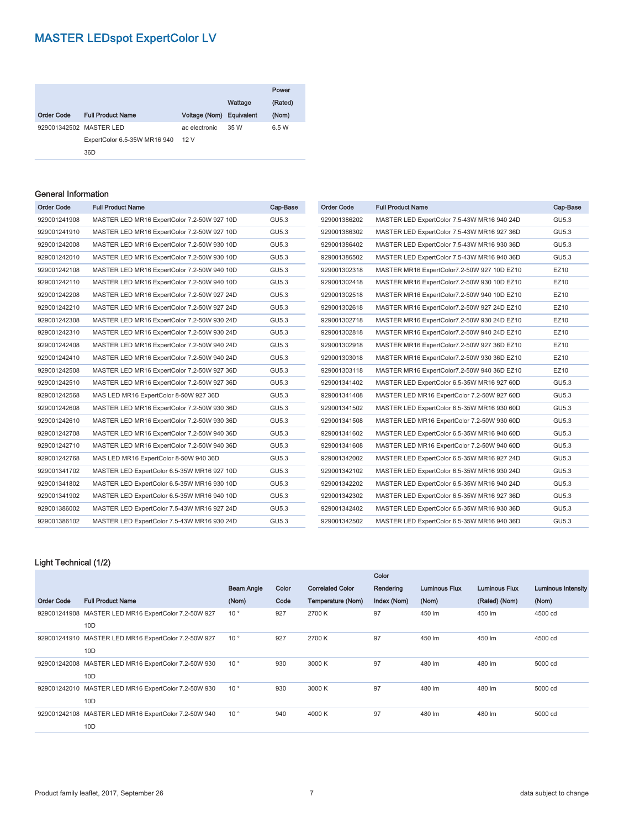|                         |                              |                          |         | Power   |
|-------------------------|------------------------------|--------------------------|---------|---------|
|                         |                              |                          | Wattage | (Rated) |
| <b>Order Code</b>       | <b>Full Product Name</b>     | Voltage (Nom) Equivalent |         | (Nom)   |
| 929001342502 MASTER LED |                              | ac electronic            | 35 W    | 6.5 W   |
|                         | ExpertColor 6.5-35W MR16 940 | 12V                      |         |         |
|                         | 36 <sub>D</sub>              |                          |         |         |

#### General Information

| <b>Order Code</b> | <b>Full Product Name</b>                    | Cap-Base | <b>Order Code</b> | <b>Full Product Name</b>                    | Cap-Base |
|-------------------|---------------------------------------------|----------|-------------------|---------------------------------------------|----------|
| 929001241908      | MASTER LED MR16 ExpertColor 7.2-50W 927 10D | GU5.3    | 929001386202      | MASTER LED ExpertColor 7.5-43W MR16 940 24D | GU5.3    |
| 929001241910      | MASTER LED MR16 ExpertColor 7.2-50W 927 10D | GU5.3    | 929001386302      | MASTER LED ExpertColor 7.5-43W MR16 927 36D | GU5.3    |
| 929001242008      | MASTER LED MR16 ExpertColor 7.2-50W 930 10D | GU5.3    | 929001386402      | MASTER LED ExpertColor 7.5-43W MR16 930 36D | GU5.3    |
| 929001242010      | MASTER LED MR16 ExpertColor 7.2-50W 930 10D | GU5.3    | 929001386502      | MASTER LED ExpertColor 7.5-43W MR16 940 36D | GU5.3    |
| 929001242108      | MASTER LED MR16 ExpertColor 7.2-50W 940 10D | GU5.3    | 929001302318      | MASTER MR16 ExpertColor7.2-50W 927 10D EZ10 | EZ10     |
| 929001242110      | MASTER LED MR16 ExpertColor 7.2-50W 940 10D | GU5.3    | 929001302418      | MASTER MR16 ExpertColor7.2-50W 930 10D EZ10 | EZ10     |
| 929001242208      | MASTER LED MR16 ExpertColor 7.2-50W 927 24D | GU5.3    | 929001302518      | MASTER MR16 ExpertColor7.2-50W 940 10D EZ10 | EZ10     |
| 929001242210      | MASTER LED MR16 ExpertColor 7.2-50W 927 24D | GU5.3    | 929001302618      | MASTER MR16 ExpertColor7.2-50W 927 24D EZ10 | EZ10     |
| 929001242308      | MASTER LED MR16 ExpertColor 7.2-50W 930 24D | GU5.3    | 929001302718      | MASTER MR16 ExpertColor7.2-50W 930 24D EZ10 | EZ10     |
| 929001242310      | MASTER LED MR16 ExpertColor 7.2-50W 930 24D | GU5.3    | 929001302818      | MASTER MR16 ExpertColor7.2-50W 940 24D EZ10 | EZ10     |
| 929001242408      | MASTER LED MR16 ExpertColor 7.2-50W 940 24D | GU5.3    | 929001302918      | MASTER MR16 ExpertColor7.2-50W 927 36D EZ10 | EZ10     |
| 929001242410      | MASTER LED MR16 ExpertColor 7.2-50W 940 24D | GU5.3    | 929001303018      | MASTER MR16 ExpertColor7.2-50W 930 36D EZ10 | EZ10     |
| 929001242508      | MASTER LED MR16 ExpertColor 7.2-50W 927 36D | GU5.3    | 929001303118      | MASTER MR16 ExpertColor7.2-50W 940 36D EZ10 | EZ10     |
| 929001242510      | MASTER LED MR16 ExpertColor 7.2-50W 927 36D | GU5.3    | 929001341402      | MASTER LED ExpertColor 6.5-35W MR16 927 60D | GU5.3    |
| 929001242568      | MAS LED MR16 ExpertColor 8-50W 927 36D      | GU5.3    | 929001341408      | MASTER LED MR16 ExpertColor 7.2-50W 927 60D | GU5.3    |
| 929001242608      | MASTER LED MR16 ExpertColor 7.2-50W 930 36D | GU5.3    | 929001341502      | MASTER LED ExpertColor 6.5-35W MR16 930 60D | GU5.3    |
| 929001242610      | MASTER LED MR16 ExpertColor 7.2-50W 930 36D | GU5.3    | 929001341508      | MASTER LED MR16 ExpertColor 7.2-50W 930 60D | GU5.3    |
| 929001242708      | MASTER LED MR16 ExpertColor 7.2-50W 940 36D | GU5.3    | 929001341602      | MASTER LED ExpertColor 6.5-35W MR16 940 60D | GU5.3    |
| 929001242710      | MASTER LED MR16 ExpertColor 7.2-50W 940 36D | GU5.3    | 929001341608      | MASTER LED MR16 ExpertColor 7.2-50W 940 60D | GU5.3    |
| 929001242768      | MAS LED MR16 ExpertColor 8-50W 940 36D      | GU5.3    | 929001342002      | MASTER LED ExpertColor 6.5-35W MR16 927 24D | GU5.3    |
| 929001341702      | MASTER LED ExpertColor 6.5-35W MR16 927 10D | GU5.3    | 929001342102      | MASTER LED ExpertColor 6.5-35W MR16 930 24D | GU5.3    |
| 929001341802      | MASTER LED ExpertColor 6.5-35W MR16 930 10D | GU5.3    | 929001342202      | MASTER LED ExpertColor 6.5-35W MR16 940 24D | GU5.3    |
| 929001341902      | MASTER LED ExpertColor 6.5-35W MR16 940 10D | GU5.3    | 929001342302      | MASTER LED ExpertColor 6.5-35W MR16 927 36D | GU5.3    |
| 929001386002      | MASTER LED ExpertColor 7.5-43W MR16 927 24D | GU5.3    | 929001342402      | MASTER LED ExpertColor 6.5-35W MR16 930 36D | GU5.3    |
| 929001386102      | MASTER LED ExpertColor 7.5-43W MR16 930 24D | GU5.3    | 929001342502      | MASTER LED ExpertColor 6.5-35W MR16 940 36D | GU5.3    |
|                   |                                             |          |                   |                                             |          |

#### Light Technical (1/2)

|                   |                                                      |                   |       |                         | Color       |                      |                      |                           |
|-------------------|------------------------------------------------------|-------------------|-------|-------------------------|-------------|----------------------|----------------------|---------------------------|
|                   |                                                      | <b>Beam Angle</b> | Color | <b>Correlated Color</b> | Rendering   | <b>Luminous Flux</b> | <b>Luminous Flux</b> | <b>Luminous Intensity</b> |
| <b>Order Code</b> | <b>Full Product Name</b>                             | (Nom)             | Code  | Temperature (Nom)       | Index (Nom) | (Nom)                | (Rated) (Nom)        | (Nom)                     |
|                   | 929001241908 MASTER LED MR16 ExpertColor 7.2-50W 927 | 10 <sup>°</sup>   | 927   | 2700 K                  | 97          | 450 lm               | 450 lm               | 4500 cd                   |
|                   | 10D                                                  |                   |       |                         |             |                      |                      |                           |
|                   | 929001241910 MASTER LED MR16 ExpertColor 7.2-50W 927 | $10^{\circ}$      | 927   | 2700 K                  | 97          | 450 lm               | 450 lm               | 4500 cd                   |
|                   | 10D                                                  |                   |       |                         |             |                      |                      |                           |
|                   | 929001242008 MASTER LED MR16 ExpertColor 7.2-50W 930 | $10^{\circ}$      | 930   | 3000 K                  | 97          | 480 lm               | 480 lm               | 5000 cd                   |
|                   | 10D                                                  |                   |       |                         |             |                      |                      |                           |
|                   | 929001242010 MASTER LED MR16 ExpertColor 7.2-50W 930 | $10^{\circ}$      | 930   | 3000 K                  | 97          | 480 lm               | 480 lm               | 5000 cd                   |
|                   | 10D                                                  |                   |       |                         |             |                      |                      |                           |
|                   | 929001242108 MASTER LED MR16 ExpertColor 7.2-50W 940 | $10^{\circ}$      | 940   | 4000 K                  | 97          | 480 lm               | 480 lm               | 5000 cd                   |
|                   | 10D                                                  |                   |       |                         |             |                      |                      |                           |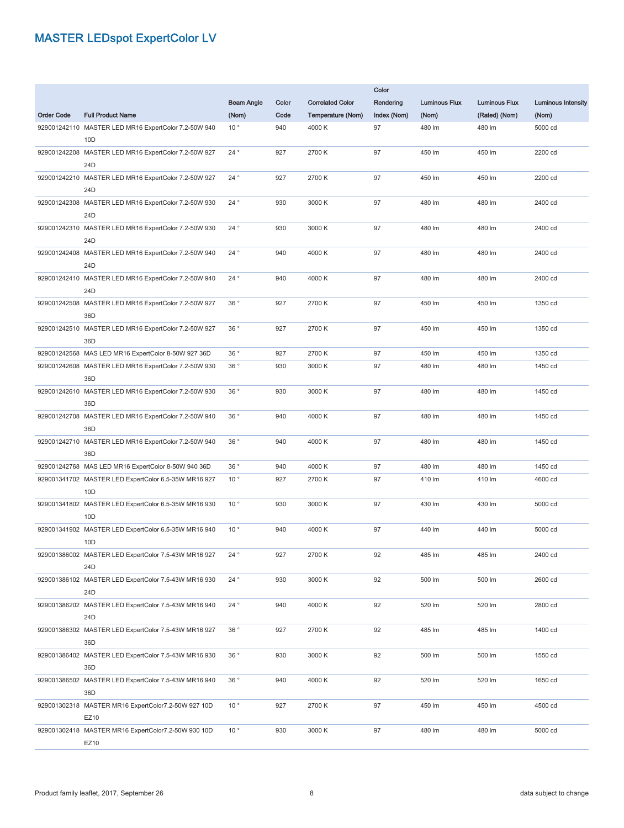|                   |                                                                         |                   |       |                         | Color       |                      |                      |                           |  |  |  |
|-------------------|-------------------------------------------------------------------------|-------------------|-------|-------------------------|-------------|----------------------|----------------------|---------------------------|--|--|--|
|                   |                                                                         | <b>Beam Angle</b> | Color | <b>Correlated Color</b> | Rendering   | <b>Luminous Flux</b> | <b>Luminous Flux</b> | <b>Luminous Intensity</b> |  |  |  |
| <b>Order Code</b> | <b>Full Product Name</b>                                                | (Nom)             | Code  | Temperature (Nom)       | Index (Nom) | (Nom)                | (Rated) (Nom)        | (Nom)                     |  |  |  |
|                   | 929001242110 MASTER LED MR16 ExpertColor 7.2-50W 940<br>10D             | 10 <sup>°</sup>   | 940   | 4000 K                  | 97          | 480 lm               | 480 lm               | 5000 cd                   |  |  |  |
|                   | 929001242208 MASTER LED MR16 ExpertColor 7.2-50W 927<br>24 <sub>D</sub> | 24°               | 927   | 2700 K                  | 97          | 450 lm               | 450 lm               | 2200 cd                   |  |  |  |
|                   | 929001242210 MASTER LED MR16 ExpertColor 7.2-50W 927<br>24 <sub>D</sub> | 24°               | 927   | 2700 K                  | 97          | 450 lm               | 450 lm               | 2200 cd                   |  |  |  |
|                   | 929001242308 MASTER LED MR16 ExpertColor 7.2-50W 930                    | 24°               | 930   | 3000 K                  | 97          | 480 lm               | 480 lm               | 2400 cd                   |  |  |  |
|                   | 24 <sub>D</sub><br>929001242310 MASTER LED MR16 ExpertColor 7.2-50W 930 | 24°               | 930   | 3000 K                  | 97          | 480 lm               | 480 lm               | 2400 cd                   |  |  |  |
|                   | 24 <sub>D</sub>                                                         |                   |       |                         |             |                      |                      |                           |  |  |  |
|                   | 929001242408 MASTER LED MR16 ExpertColor 7.2-50W 940<br>24 <sub>D</sub> | $24^{\circ}$      | 940   | 4000 K                  | 97          | 480 lm               | 480 lm               | 2400 cd                   |  |  |  |
|                   | 929001242410 MASTER LED MR16 ExpertColor 7.2-50W 940<br>24 <sub>D</sub> | $24^{\circ}$      | 940   | 4000 K                  | 97          | 480 lm               | 480 lm               | 2400 cd                   |  |  |  |
|                   | 929001242508 MASTER LED MR16 ExpertColor 7.2-50W 927<br>36D             | 36°               | 927   | 2700 K                  | 97          | 450 lm               | 450 lm               | 1350 cd                   |  |  |  |
|                   | 929001242510 MASTER LED MR16 ExpertColor 7.2-50W 927                    | 36°               | 927   | 2700 K                  | 97          | 450 lm               | 450 lm               | 1350 cd                   |  |  |  |
|                   | 36D<br>929001242568 MAS LED MR16 ExpertColor 8-50W 927 36D              | 36°               | 927   | 2700 K                  | 97          | 450 lm               | 450 lm               | 1350 cd                   |  |  |  |
|                   | 929001242608 MASTER LED MR16 ExpertColor 7.2-50W 930                    | 36°               | 930   | 3000 K                  | 97          | 480 lm               | 480 lm               | 1450 cd                   |  |  |  |
|                   | 36D                                                                     |                   |       |                         |             |                      |                      |                           |  |  |  |
|                   | 929001242610 MASTER LED MR16 ExpertColor 7.2-50W 930<br>36D             | 36°               | 930   | 3000 K                  | 97          | 480 lm               | 480 lm               | 1450 cd                   |  |  |  |
|                   | 929001242708 MASTER LED MR16 ExpertColor 7.2-50W 940<br>36D             | 36°               | 940   | 4000 K                  | 97          | 480 lm               | 480 lm               | 1450 cd                   |  |  |  |
|                   | 929001242710 MASTER LED MR16 ExpertColor 7.2-50W 940<br>36D             | 36°               | 940   | 4000 K                  | 97          | 480 lm               | 480 lm               | 1450 cd                   |  |  |  |
|                   | 929001242768 MAS LED MR16 ExpertColor 8-50W 940 36D                     | 36°               | 940   | 4000 K                  | 97          | 480 lm               | 480 lm               | 1450 cd                   |  |  |  |
|                   | 929001341702 MASTER LED ExpertColor 6.5-35W MR16 927<br>10 <sub>D</sub> | $10^{\circ}$      | 927   | 2700 K                  | 97          | 410 lm               | 410 lm               | 4600 cd                   |  |  |  |
|                   | 929001341802 MASTER LED ExpertColor 6.5-35W MR16 930<br>10 <sub>D</sub> | 10 <sup>°</sup>   | 930   | 3000 K                  | 97          | 430 lm               | 430 lm               | 5000 cd                   |  |  |  |
|                   | 929001341902 MASTER LED ExpertColor 6.5-35W MR16 940<br>10 <sub>D</sub> | 10 <sup>°</sup>   | 940   | 4000 K                  | 97          | 440 lm               | 440 lm               | 5000 cd                   |  |  |  |
|                   | 929001386002 MASTER LED ExpertColor 7.5-43W MR16 927                    | $24$ $^{\circ}$   | 927   | 2700 K                  | 92          | 485 lm               | 485 lm               | 2400 cd                   |  |  |  |
|                   | 24 <sub>D</sub><br>929001386102 MASTER LED ExpertColor 7.5-43W MR16 930 | 24 $^{\circ}$     | 930   | 3000 K                  | 92          | 500 lm               | 500 lm               | 2600 cd                   |  |  |  |
|                   | 24 <sub>D</sub>                                                         |                   |       |                         |             |                      |                      |                           |  |  |  |
|                   | 929001386202 MASTER LED ExpertColor 7.5-43W MR16 940<br>24D             | 24 $^{\circ}$     | 940   | 4000 K                  | 92          | 520 lm               | 520 lm               | 2800 cd                   |  |  |  |
|                   | 929001386302 MASTER LED ExpertColor 7.5-43W MR16 927<br>36D             | 36°               | 927   | 2700 K                  | 92          | 485 lm               | 485 lm               | 1400 cd                   |  |  |  |
|                   | 929001386402 MASTER LED ExpertColor 7.5-43W MR16 930<br>36D             | 36°               | 930   | 3000 K                  | 92          | 500 lm               | 500 lm               | 1550 cd                   |  |  |  |
|                   | 929001386502 MASTER LED ExpertColor 7.5-43W MR16 940                    | 36°               | 940   | 4000 K                  | 92          | 520 lm               | 520 lm               | 1650 cd                   |  |  |  |
|                   | 36D<br>929001302318 MASTER MR16 ExpertColor7.2-50W 927 10D              | $10^{\circ}$      | 927   | 2700 K                  | 97          | 450 lm               | 450 lm               | 4500 cd                   |  |  |  |
|                   | EZ10                                                                    |                   |       |                         |             |                      |                      |                           |  |  |  |
|                   | 929001302418 MASTER MR16 ExpertColor7.2-50W 930 10D<br>EZ10             | $10^{\circ}$      | 930   | 3000 K                  | 97          | 480 lm               | 480 lm               | 5000 cd                   |  |  |  |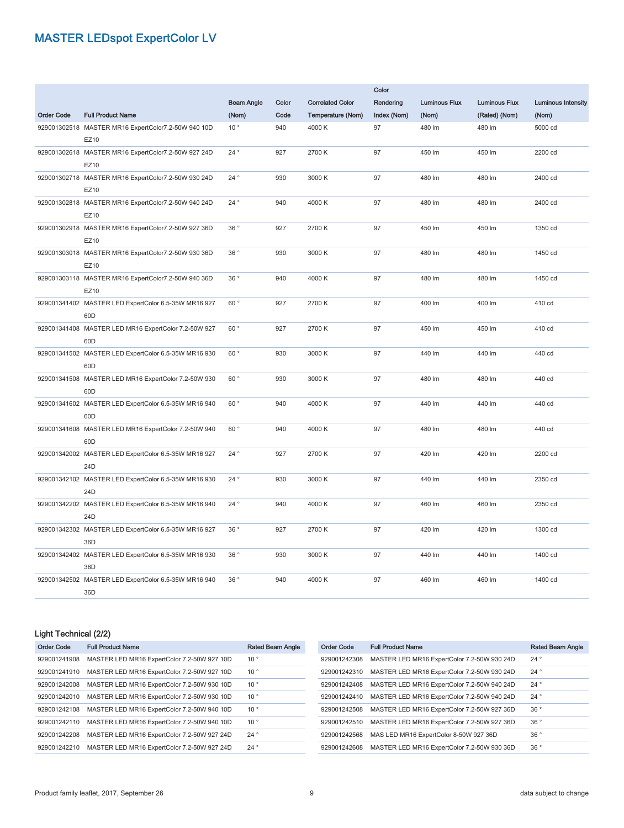|                   |                                                                         |                   |       |                         | Color       |                      |                      |                           |  |  |  |
|-------------------|-------------------------------------------------------------------------|-------------------|-------|-------------------------|-------------|----------------------|----------------------|---------------------------|--|--|--|
|                   |                                                                         | <b>Beam Angle</b> | Color | <b>Correlated Color</b> | Rendering   | <b>Luminous Flux</b> | <b>Luminous Flux</b> | <b>Luminous Intensity</b> |  |  |  |
| <b>Order Code</b> | <b>Full Product Name</b>                                                | (Nom)             | Code  | Temperature (Nom)       | Index (Nom) | (Nom)                | (Rated) (Nom)        | (Nom)                     |  |  |  |
|                   | 929001302518 MASTER MR16 ExpertColor7.2-50W 940 10D<br>EZ10             | 10 <sup>°</sup>   | 940   | 4000 K                  | 97          | 480 lm               | 480 lm               | 5000 cd                   |  |  |  |
|                   | 929001302618 MASTER MR16 ExpertColor7.2-50W 927 24D<br>EZ10             | 24°               | 927   | 2700 K                  | 97          | 450 lm               | 450 lm               | 2200 cd                   |  |  |  |
|                   | 929001302718 MASTER MR16 ExpertColor7.2-50W 930 24D<br>EZ10             | 24°               | 930   | 3000 K                  | 97          | 480 lm               | 480 lm               | 2400 cd                   |  |  |  |
|                   | 929001302818 MASTER MR16 ExpertColor7.2-50W 940 24D<br>EZ10             | 24°               | 940   | 4000 K                  | 97          | 480 lm               | 480 lm               | 2400 cd                   |  |  |  |
|                   | 929001302918 MASTER MR16 ExpertColor7.2-50W 927 36D<br>EZ10             | 36°               | 927   | 2700 K                  | 97          | 450 lm               | 450 lm               | 1350 cd                   |  |  |  |
|                   | 929001303018 MASTER MR16 ExpertColor7.2-50W 930 36D<br>EZ10             | 36 $^{\circ}$     | 930   | 3000 K                  | 97          | 480 lm               | 480 lm               | 1450 cd                   |  |  |  |
|                   | 929001303118 MASTER MR16 ExpertColor7.2-50W 940 36D<br>EZ10             | 36°               | 940   | 4000 K                  | 97          | 480 lm               | 480 lm               | 1450 cd                   |  |  |  |
|                   | 929001341402 MASTER LED ExpertColor 6.5-35W MR16 927<br>60 <sub>D</sub> | 60 $^\circ$       | 927   | 2700 K                  | 97          | 400 lm               | 400 lm               | 410 cd                    |  |  |  |
|                   | 929001341408 MASTER LED MR16 ExpertColor 7.2-50W 927<br>60 <sub>D</sub> | 60°               | 927   | 2700 K                  | 97          | 450 lm               | 450 lm               | 410 cd                    |  |  |  |
|                   | 929001341502 MASTER LED ExpertColor 6.5-35W MR16 930<br>60 <sub>D</sub> | 60°               | 930   | 3000 K                  | 97          | 440 lm               | 440 lm               | 440 cd                    |  |  |  |
|                   | 929001341508 MASTER LED MR16 ExpertColor 7.2-50W 930<br>60 <sub>D</sub> | 60°               | 930   | 3000 K                  | 97          | 480 lm               | 480 lm               | 440 cd                    |  |  |  |
|                   | 929001341602 MASTER LED ExpertColor 6.5-35W MR16 940<br>60 <sub>D</sub> | 60°               | 940   | 4000 K                  | 97          | 440 lm               | 440 lm               | 440 cd                    |  |  |  |
|                   | 929001341608 MASTER LED MR16 ExpertColor 7.2-50W 940<br>60 <sub>D</sub> | 60°               | 940   | 4000 K                  | 97          | 480 lm               | 480 lm               | 440 cd                    |  |  |  |
|                   | 929001342002 MASTER LED ExpertColor 6.5-35W MR16 927<br>24D             | 24 $^{\circ}$     | 927   | 2700 K                  | 97          | 420 lm               | 420 lm               | 2200 cd                   |  |  |  |
|                   | 929001342102 MASTER LED ExpertColor 6.5-35W MR16 930<br>24 <sub>D</sub> | $24^{\circ}$      | 930   | 3000 K                  | 97          | 440 lm               | 440 lm               | 2350 cd                   |  |  |  |
|                   | 929001342202 MASTER LED ExpertColor 6.5-35W MR16 940<br>24 <sub>D</sub> | 24°               | 940   | 4000 K                  | 97          | 460 lm               | 460 lm               | 2350 cd                   |  |  |  |
|                   | 929001342302 MASTER LED ExpertColor 6.5-35W MR16 927<br>36D             | 36°               | 927   | 2700 K                  | 97          | 420 lm               | 420 lm               | 1300 cd                   |  |  |  |
|                   | 929001342402 MASTER LED ExpertColor 6.5-35W MR16 930<br>36D             | 36°               | 930   | 3000 K                  | 97          | 440 lm               | 440 lm               | 1400 cd                   |  |  |  |
|                   | 929001342502 MASTER LED ExpertColor 6.5-35W MR16 940<br>36D             | 36°               | 940   | 4000 K                  | 97          | 460 lm               | 460 lm               | 1400 cd                   |  |  |  |

#### Light Technical (2/2)

| <b>Order Code</b> | <b>Full Product Name</b>                    | Rated Beam Angle | Order Code   | <b>Full Product Name</b>                    | <b>Rated Beam Angle</b> |
|-------------------|---------------------------------------------|------------------|--------------|---------------------------------------------|-------------------------|
| 929001241908      | MASTER LED MR16 ExpertColor 7.2-50W 927 10D | $10^{\circ}$     | 929001242308 | MASTER LED MR16 ExpertColor 7.2-50W 930 24D | $24^{\circ}$            |
| 929001241910      | MASTER LED MR16 ExpertColor 7.2-50W 927 10D | 10 <sup>°</sup>  | 929001242310 | MASTER LED MR16 ExpertColor 7.2-50W 930 24D | 24 <sup>°</sup>         |
| 929001242008      | MASTER LED MR16 ExpertColor 7.2-50W 930 10D | $10^{\circ}$     | 929001242408 | MASTER LED MR16 ExpertColor 7.2-50W 940 24D | 24 <sup>°</sup>         |
| 929001242010      | MASTER LED MR16 ExpertColor 7.2-50W 930 10D | 10 <sup>°</sup>  | 929001242410 | MASTER LED MR16 ExpertColor 7.2-50W 940 24D | 24 <sup>°</sup>         |
| 929001242108      | MASTER LED MR16 ExpertColor 7.2-50W 940 10D | 10 <sup>°</sup>  | 929001242508 | MASTER LED MR16 ExpertColor 7.2-50W 927 36D | 36 <sup>°</sup>         |
| 929001242110      | MASTER LED MR16 ExpertColor 7.2-50W 940 10D | 10 <sup>°</sup>  | 929001242510 | MASTER LED MR16 ExpertColor 7.2-50W 927 36D | 36°                     |
| 929001242208      | MASTER LED MR16 ExpertColor 7.2-50W 927 24D | $24^{\circ}$     | 929001242568 | MAS LED MR16 ExpertColor 8-50W 927 36D      | 36 <sup>°</sup>         |
| 929001242210      | MASTER LED MR16 ExpertColor 7.2-50W 927 24D | 24°              | 929001242608 | MASTER LED MR16 ExpertColor 7.2-50W 930 36D | 36 <sup>°</sup>         |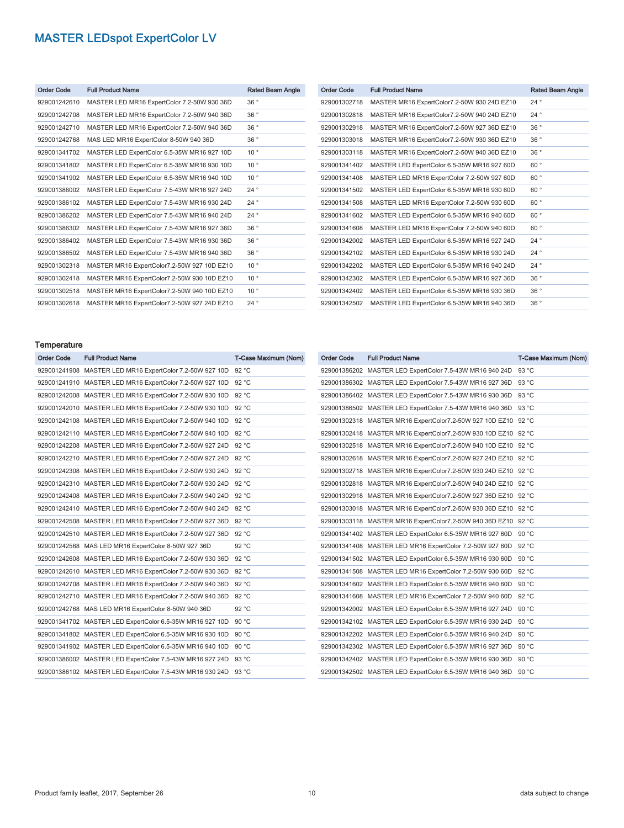| <b>Order Code</b> | <b>Full Product Name</b>                    | Rated Beam Angle |
|-------------------|---------------------------------------------|------------------|
| 929001242610      | MASTER LED MR16 ExpertColor 7.2-50W 930 36D | 36°              |
| 929001242708      | MASTER LED MR16 ExpertColor 7.2-50W 940 36D | 36°              |
| 929001242710      | MASTER LED MR16 ExpertColor 7.2-50W 940 36D | 36°              |
| 929001242768      | MAS LED MR16 ExpertColor 8-50W 940 36D      | 36°              |
| 929001341702      | MASTER LED ExpertColor 6.5-35W MR16 927 10D | $10^{\circ}$     |
| 929001341802      | MASTER LED ExpertColor 6.5-35W MR16 930 10D | 10 <sup>°</sup>  |
| 929001341902      | MASTER LED ExpertColor 6.5-35W MR16 940 10D | $10^{\circ}$     |
| 929001386002      | MASTER LED ExpertColor 7.5-43W MR16 927 24D | 24°              |
| 929001386102      | MASTER LED ExpertColor 7.5-43W MR16 930 24D | $24^{\circ}$     |
| 929001386202      | MASTER LED ExpertColor 7.5-43W MR16 940 24D | 24°              |
| 929001386302      | MASTER LED ExpertColor 7.5-43W MR16 927 36D | 36°              |
| 929001386402      | MASTER LED ExpertColor 7.5-43W MR16 930 36D | 36°              |
| 929001386502      | MASTER LED ExpertColor 7.5-43W MR16 940 36D | 36°              |
| 929001302318      | MASTER MR16 ExpertColor7.2-50W 927 10D EZ10 | $10^{\circ}$     |
| 929001302418      | MASTER MR16 ExpertColor7.2-50W 930 10D EZ10 | 10 <sup>°</sup>  |
| 929001302518      | MASTER MR16 ExpertColor7.2-50W 940 10D EZ10 | 10 <sup>°</sup>  |
| 929001302618      | MASTER MR16 ExpertColor7.2-50W 927 24D EZ10 | 24°              |

| <b>Order Code</b> | <b>Full Product Name</b>                    | Rated Beam Angle |
|-------------------|---------------------------------------------|------------------|
| 929001302718      | MASTER MR16 ExpertColor7.2-50W 930 24D EZ10 | $24^{\circ}$     |
| 929001302818      | MASTER MR16 ExpertColor7.2-50W 940 24D EZ10 | 24°              |
| 929001302918      | MASTER MR16 ExpertColor7.2-50W 927 36D EZ10 | 36°              |
| 929001303018      | MASTER MR16 ExpertColor7.2-50W 930 36D EZ10 | 36°              |
| 929001303118      | MASTER MR16 ExpertColor7.2-50W 940 36D EZ10 | 36°              |
| 929001341402      | MASTER LED ExpertColor 6.5-35W MR16 927 60D | 60°              |
| 929001341408      | MASTER LED MR16 ExpertColor 7.2-50W 927 60D | 60°              |
| 929001341502      | MASTER LED ExpertColor 6.5-35W MR16 930 60D | 60°              |
| 929001341508      | MASTER LED MR16 ExpertColor 7.2-50W 930 60D | 60°              |
| 929001341602      | MASTER LED ExpertColor 6.5-35W MR16 940 60D | $60^{\circ}$     |
| 929001341608      | MASTER LED MR16 ExpertColor 7.2-50W 940 60D | $60^{\circ}$     |
| 929001342002      | MASTER LED ExpertColor 6.5-35W MR16 927 24D | $24^{\circ}$     |
| 929001342102      | MASTER LED ExpertColor 6.5-35W MR16 930 24D | 24°              |
| 929001342202      | MASTER LED ExpertColor 6.5-35W MR16 940 24D | $24^{\circ}$     |
| 929001342302      | MASTER LED ExpertColor 6.5-35W MR16 927 36D | 36°              |
| 929001342402      | MASTER LED ExpertColor 6.5-35W MR16 930 36D | 36°              |
| 929001342502      | MASTER LED ExpertColor 6.5-35W MR16 940 36D | 36°              |

## Temperature<br>Cada Full Praduct Na

| <b>Order Code</b> | <b>Full Product Name</b>                                 | T-Case Maximum (Nom) |
|-------------------|----------------------------------------------------------|----------------------|
|                   | 929001241908 MASTER LED MR16 ExpertColor 7.2-50W 927 10D | 92 °C                |
|                   | 929001241910 MASTER LED MR16 ExpertColor 7.2-50W 927 10D | 92 °C                |
|                   | 929001242008 MASTER LED MR16 ExpertColor 7.2-50W 930 10D | 92 °C                |
|                   | 929001242010 MASTER LED MR16 ExpertColor 7.2-50W 930 10D | 92 °C                |
|                   | 929001242108 MASTER LED MR16 ExpertColor 7.2-50W 940 10D | 92 °C                |
|                   | 929001242110 MASTER LED MR16 ExpertColor 7.2-50W 940 10D | 92 °C                |
|                   | 929001242208 MASTER LED MR16 ExpertColor 7.2-50W 927 24D | 92 °C                |
|                   | 929001242210 MASTER LED MR16 ExpertColor 7.2-50W 927 24D | 92 °C                |
|                   | 929001242308 MASTER LED MR16 ExpertColor 7.2-50W 930 24D | 92 °C                |
|                   | 929001242310 MASTER LED MR16 ExpertColor 7.2-50W 930 24D | 92 °C                |
|                   | 929001242408 MASTER LED MR16 ExpertColor 7.2-50W 940 24D | 92 °C                |
|                   | 929001242410 MASTER LED MR16 ExpertColor 7.2-50W 940 24D | 92 °C                |
|                   | 929001242508 MASTER LED MR16 ExpertColor 7.2-50W 927 36D | 92 °C                |
|                   | 929001242510 MASTER LED MR16 ExpertColor 7.2-50W 927 36D | 92 °C                |
|                   | 929001242568 MAS LED MR16 ExpertColor 8-50W 927 36D      | 92 °C                |
|                   | 929001242608 MASTER LED MR16 ExpertColor 7.2-50W 930 36D | 92 °C                |
|                   | 929001242610 MASTER LED MR16 ExpertColor 7.2-50W 930 36D | 92 °C                |
|                   | 929001242708 MASTER LED MR16 ExpertColor 7.2-50W 940 36D | 92 °C                |
|                   | 929001242710 MASTER LED MR16 ExpertColor 7.2-50W 940 36D | 92 °C                |
|                   | 929001242768 MAS LED MR16 ExpertColor 8-50W 940 36D      | 92 °C                |
|                   | 929001341702 MASTER LED ExpertColor 6.5-35W MR16 927 10D | 90 °C                |
|                   | 929001341802 MASTER LED ExpertColor 6.5-35W MR16 930 10D | 90 °C                |
|                   | 929001341902 MASTER LED ExpertColor 6.5-35W MR16 940 10D | 90 °C                |
|                   | 929001386002 MASTER LED ExpertColor 7.5-43W MR16 927 24D | 93 °C                |
|                   | 929001386102 MASTER LED ExpertColor 7.5-43W MR16 930 24D | 93 °C                |

| Order Code | <b>Full Product Name</b>                                 | T-Case Maximum (Nom) |
|------------|----------------------------------------------------------|----------------------|
|            | 929001386202 MASTER LED ExpertColor 7.5-43W MR16 940 24D | 93 °C                |
|            | 929001386302 MASTER LED ExpertColor 7.5-43W MR16 927 36D | 93 °C                |
|            | 929001386402 MASTER LED ExpertColor 7.5-43W MR16 930 36D | 93 °C                |
|            | 929001386502 MASTER LED ExpertColor 7.5-43W MR16 940 36D | 93 °C                |
|            | 929001302318 MASTER MR16 ExpertColor7.2-50W 927 10D EZ10 | 92 °C                |
|            | 929001302418 MASTER MR16 ExpertColor7.2-50W 930 10D EZ10 | 92 °C                |
|            | 929001302518 MASTER MR16 ExpertColor7.2-50W 940 10D EZ10 | 92 °C                |
|            | 929001302618 MASTER MR16 ExpertColor7.2-50W 927 24D EZ10 | 92 °C                |
|            | 929001302718 MASTER MR16 ExpertColor7.2-50W 930 24D EZ10 | 92 °C                |
|            | 929001302818 MASTER MR16 ExpertColor7.2-50W 940 24D EZ10 | 92 °C                |
|            | 929001302918 MASTER MR16 ExpertColor7.2-50W 927 36D EZ10 | 92 °C                |
|            | 929001303018 MASTER MR16 ExpertColor7.2-50W 930 36D EZ10 | 92 °C                |
|            | 929001303118 MASTER MR16 ExpertColor7.2-50W 940 36D EZ10 | 92 °C                |
|            | 929001341402 MASTER LED ExpertColor 6.5-35W MR16 927 60D | 90 °C                |
|            | 929001341408 MASTER LED MR16 ExpertColor 7.2-50W 927 60D | 92 °C                |
|            | 929001341502 MASTER LED ExpertColor 6.5-35W MR16 930 60D | 90 °C                |
|            | 929001341508 MASTER LED MR16 ExpertColor 7.2-50W 930 60D | 92 °C                |
|            | 929001341602 MASTER LED ExpertColor 6.5-35W MR16 940 60D | 90 °C                |
|            | 929001341608 MASTER LED MR16 ExpertColor 7.2-50W 940 60D | 92 °C                |
|            | 929001342002 MASTER LED ExpertColor 6.5-35W MR16 927 24D | 90 °C                |
|            | 929001342102 MASTER LED ExpertColor 6.5-35W MR16 930 24D | 90 °C                |
|            | 929001342202 MASTER LED ExpertColor 6.5-35W MR16 940 24D | 90 °C                |
|            | 929001342302 MASTER LED ExpertColor 6.5-35W MR16 927 36D | 90 °C                |
|            | 929001342402 MASTER LED ExpertColor 6.5-35W MR16 930 36D | 90 °C                |
|            | 929001342502 MASTER LED ExpertColor 6.5-35W MR16 940 36D | 90 °C                |
|            |                                                          |                      |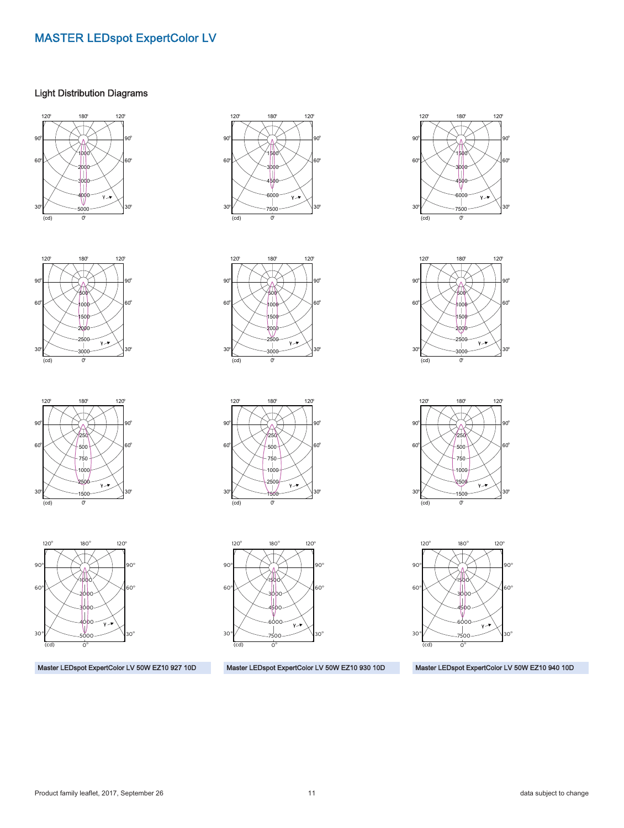#### Light Distribution Diagrams









Master LEDspot ExpertColor LV 50W EZ10 927 10D









Master LEDspot ExpertColor LV 50W EZ10 930 10D









Master LEDspot ExpertColor LV 50W EZ10 940 10D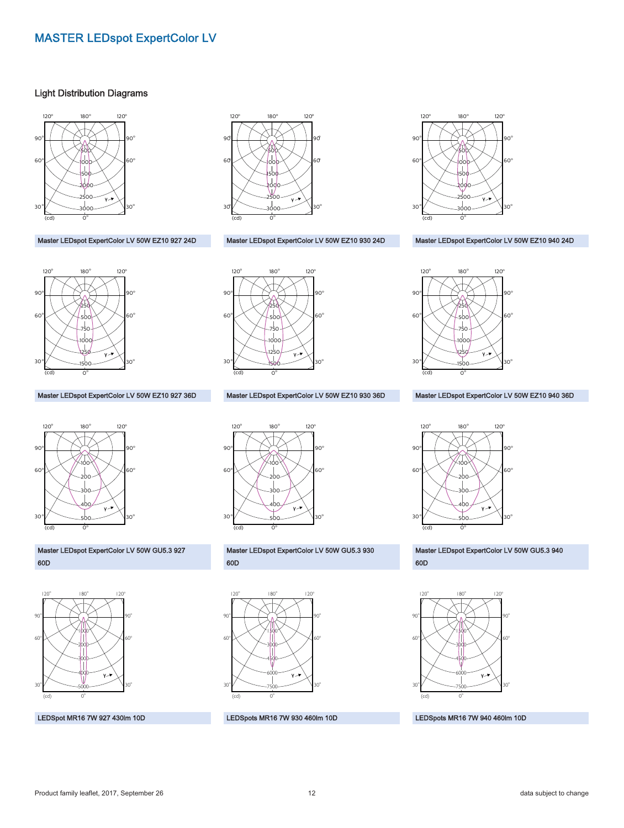#### Light Distribution Diagrams



Master LEDspot ExpertColor LV 50W EZ10 927 24D



Master LEDspot ExpertColor LV 50W EZ10 927 36D



Master LEDspot ExpertColor LV 50W GU5.3 927 60D



LEDSpot MR16 7W 927 430lm 10D



Master LEDspot ExpertColor LV 50W EZ10 930 24D



Master LEDspot ExpertColor LV 50W EZ10 930 36D



Master LEDspot ExpertColor LV 50W GU5.3 930 60D



LEDSpots MR16 7W 930 460lm 10D



#### Master LEDspot ExpertColor LV 50W EZ10 940 24D



Master LEDspot ExpertColor LV 50W EZ10 940 36D



Master LEDspot ExpertColor LV 50W GU5.3 940 60D



LEDSpots MR16 7W 940 460lm 10D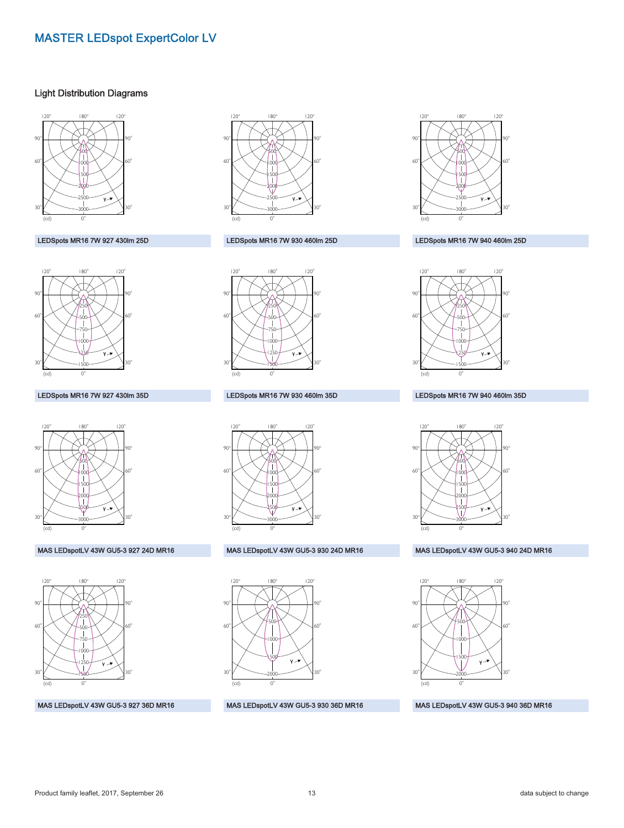#### Light Distribution Diagrams



#### LEDSpots MR16 7W 927 430lm 25D



#### LEDSpots MR16 7W 927 430lm 35D



#### MAS LEDspotLV 43W GU5-3 927 24D MR16



#### MAS LEDspotLV 43W GU5-3 927 36D MR16



#### LEDSpots MR16 7W 930 460lm 25D



#### LEDSpots MR16 7W 930 460lm 35D



#### MAS LEDspotLV 43W GU5-3 930 24D MR16



#### MAS LEDspotLV 43W GU5-3 930 36D MR16



#### LEDSpots MR16 7W 940 460lm 25D



#### LEDSpots MR16 7W 940 460lm 35D



#### MAS LEDspotLV 43W GU5-3 940 24D MR16



MAS LEDspotLV 43W GU5-3 940 36D MR16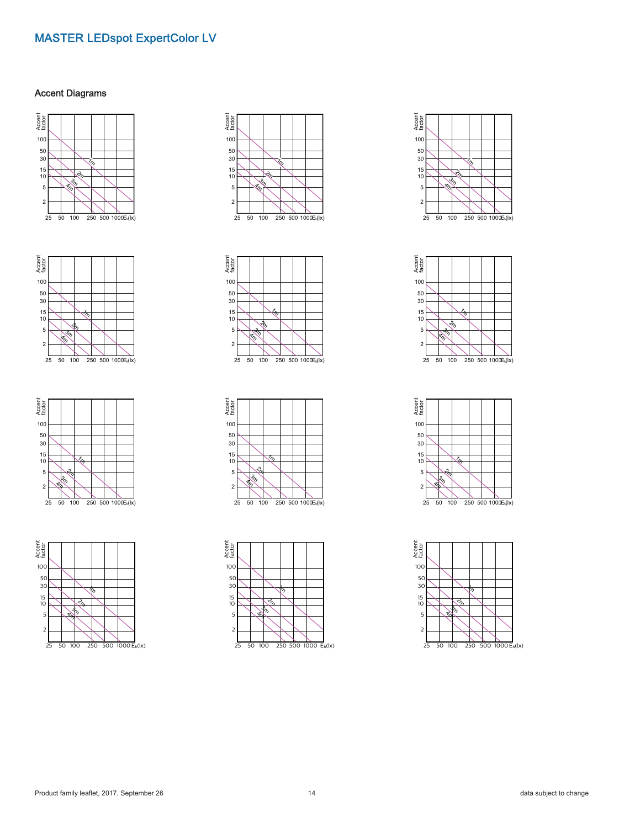#### Accent Diagrams























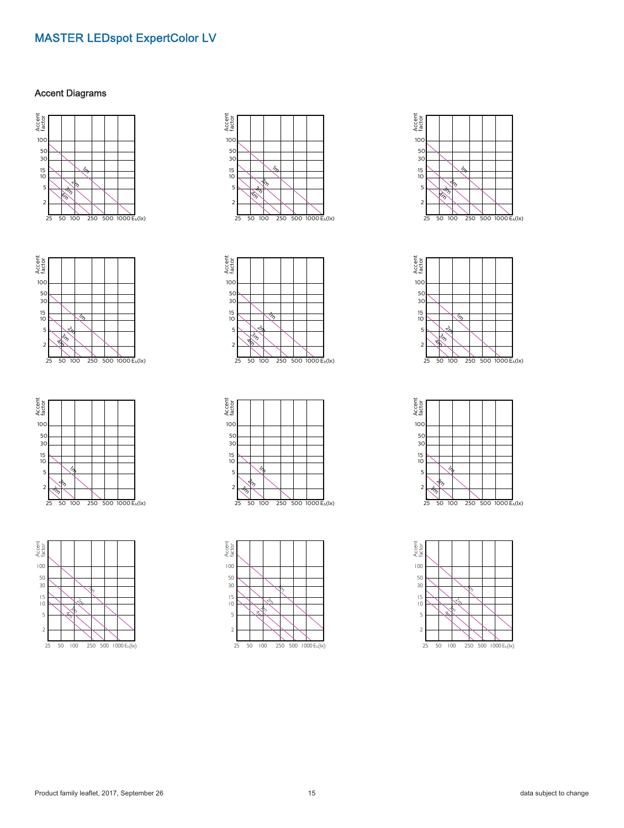#### Accent Diagrams























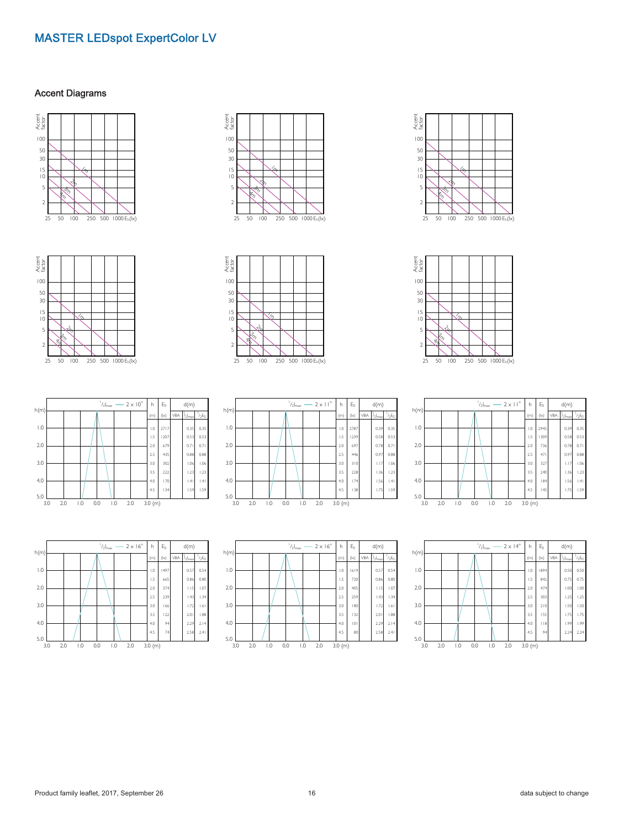#### Accent Diagrams



















|      |     |     | $1/2$ <sub>max</sub> - $2 \times 11^{\circ}$ | h          | $E_0$   |               | d(m) |                      |          |
|------|-----|-----|----------------------------------------------|------------|---------|---------------|------|----------------------|----------|
| h(m) |     |     |                                              |            | (m)     | $( x\rangle)$ | VBA  | $l_2$ <sub>max</sub> | $1/2E_0$ |
| 1.0  |     |     |                                              |            | 1.0     | 2945          |      | 0.39                 | 0.35     |
|      |     |     |                                              |            | 1.5     | 1309          |      | 0.58                 | 0.53     |
| 2.0  |     |     |                                              |            | 2.0     | 736           |      | 0.78                 | 0.71     |
|      |     |     |                                              |            | 25      | 471           |      | 0.97                 | 0.88     |
| 3.0  |     |     |                                              |            | 3.0     | 327           |      | 1.17                 | 1.06     |
|      |     |     |                                              |            | 3.5     | 240           |      | 1.36                 | 1.23     |
| 4.0  |     |     |                                              |            | 4.0     | 184           |      | 1.56                 | .4       |
| 5.0  |     |     |                                              |            | 4.5     | 145           |      | 1.75                 | 1.59     |
| 3.0  | 2.0 | 1.0 | 0.0                                          | 2.0<br>1.0 | 3.0 (m) |               |      |                      |          |

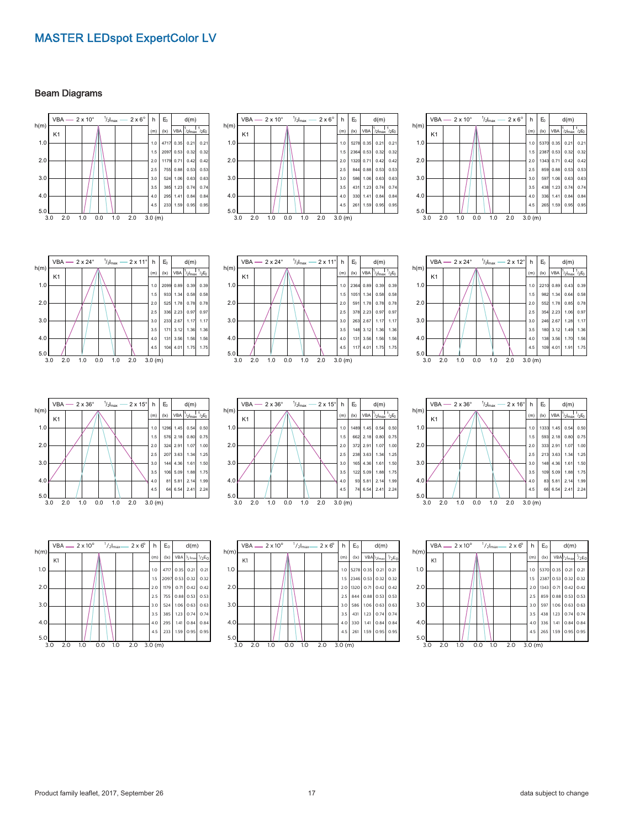#### Beam Diagrams

|      |                |     |     |     |     | VBA - $2 \times 10^{\circ}$ $\frac{1}{2}$ <sub>max</sub> - $2 \times 6^{\circ}$   h   E <sub>0</sub> |            |              | d(m) |                                            |      |                |     |     |     |     | VBA - $2 \times 10^{\circ}$ $\frac{1}{2} l_{\text{max}}$ - $2 \times 6^{\circ}$ h |            |
|------|----------------|-----|-----|-----|-----|------------------------------------------------------------------------------------------------------|------------|--------------|------|--------------------------------------------|------|----------------|-----|-----|-----|-----|-----------------------------------------------------------------------------------|------------|
| h(m) | K <sub>1</sub> |     |     |     |     |                                                                                                      | (m)        | $( x\rangle$ |      | $VBA$ $ ^{1}_{/2}I_{max}$ $ ^{1}_{/2}E_0 $ | h(m) | K <sub>1</sub> |     |     |     |     |                                                                                   | (m         |
| 1.0  |                |     |     |     |     |                                                                                                      |            |              |      | 1.0 4717 0.35 0.21 0.21                    | 1.0  |                |     |     |     |     |                                                                                   | 1.1        |
|      |                |     |     |     |     |                                                                                                      |            |              |      | 1.5 2097 0.53 0.32 0.32                    |      |                |     |     |     |     |                                                                                   | 1.5        |
| 2.0  |                |     |     |     |     |                                                                                                      |            |              |      | 2.0 1179 0.71 0.42 0.42                    | 2.0  |                |     |     |     |     |                                                                                   | 2.1        |
|      |                |     |     |     |     |                                                                                                      | 2.5        |              |      | 755 0.88 0.53 0.53                         |      |                |     |     |     |     |                                                                                   | 2.5        |
| 3.0  |                |     |     |     |     |                                                                                                      | 3.0        |              |      | 524 1.06 0.63 0.63                         | 3.0  |                |     |     |     |     |                                                                                   | 3.1        |
|      |                |     |     |     |     |                                                                                                      | 3.5        |              |      | 385 1.23 0.74 0.74                         |      |                |     |     |     |     |                                                                                   | 3.5        |
| 4.0  |                |     |     |     |     |                                                                                                      | 4.0<br>4.5 |              |      | 295 1.41 0.84 0.84<br>233 1.59 0.95 0.95   | 4.0  |                |     |     |     |     |                                                                                   | 4.1<br>4.5 |
| 5.0  |                |     |     |     |     |                                                                                                      |            |              |      |                                            | 5.0  |                |     |     |     |     |                                                                                   |            |
|      | 3.0            | 2.0 | 1.0 | 0.0 | 1.0 | 2.0                                                                                                  | 3.0(m)     |              |      |                                            |      | 3.0            | 2.0 | 1.0 | 0.0 | 1.0 | 2.0                                                                               | 3.0        |



|      | $^{1}/_{2}I_{max}$ – 2 x 6 <sup>o</sup><br>$VBA$ - 2 x 10 $^{\circ}$ |     |     |     |     |     |  | h      | $E_0$ | d(m) |                                              |      |
|------|----------------------------------------------------------------------|-----|-----|-----|-----|-----|--|--------|-------|------|----------------------------------------------|------|
| h(m) | K <sub>1</sub>                                                       |     |     |     |     |     |  | (m)    | ( x)  |      | VBA $1/2$ <sub>max</sub> $1/2$ <sub>E0</sub> |      |
| 1.0  |                                                                      |     |     |     |     |     |  | 1.0    | 5370  | 0.35 | 0.21                                         | 0.21 |
|      |                                                                      |     |     |     |     |     |  | 1.5    | 2387  | 0.53 | 0.32                                         | 0.32 |
| 2.0  |                                                                      |     |     |     |     |     |  | 2.0    | 1343  | 0.71 | 0.42                                         | 0.42 |
|      |                                                                      |     |     |     |     |     |  | 2.5    | 859   | 0.88 | 0.53                                         | 0.53 |
| 3.0  |                                                                      |     |     |     |     |     |  | 3.0    | 597   | 1.06 | 0.63                                         | 0.63 |
|      |                                                                      |     |     |     |     |     |  | 3.5    | 438   | 1.23 | 0.74                                         | 0.74 |
| 4.0  |                                                                      |     |     |     |     |     |  | 4.0    | 336   | 1.41 | 0.84                                         | 0.84 |
| 5.0  |                                                                      |     |     |     |     |     |  | 4.5    | 265   | 1.59 | 0.95                                         | 0.95 |
|      | 3.0                                                                  | 2.0 | 1.0 | 0.0 | 1.0 | 2.0 |  | 3.0(m) |       |      |                                              |      |

 $VBA$   $-$  2 x 24°  $\frac{1}{2}$ <sub>max</sub>  $-$  2 x 11° | h | E<sub>0</sub> | d(m) | | | VBA  $-$  2 x 24°  $\frac{1}{2}$ <sub>max</sub>  $-$  2 x 11° | h h(m)  $(kx)$  VBA /2Imax 1 /2E0  $E_0$  d(m) K1 1.0 2.0 3.0  $4.0$  $5.0$   $3.0$ 3.0 2.0 1.0 0.0 1.0 2.0 3.0 (m) 1.0 2099 0.89 1.5 933 1.34 2.0 525 1.78 2.5 336 2.23 3.0 233 2.67 3.5 171 3.12 4.0 131 3.56 4.5  $10444$ 0.39  $|_{0.58}$ 0.78 0.97 1.17 1.36  $1.56$ 1.75 0.39 0.58 0.78 0.97 1.17 1.36  $1.56$ 1.75









3.0 2.0 1.0 0.0 1.0 2.0 3.0 (m)

4.5 233 1.59 0.95 0.95

 $5.0$   $3.0$ 

#### h(m)  $($ w) VBA  $1/21n$ 1  $/2E_0$  $E_0$  d(m) K1 1.0 2.0 3.0 4.0  $5.0$   $3.0$ 3.0 2.0 1.0 0.0 1.0 2.0 3.0 (m) 1.0 1489 1.45 1.5 662 2.18 2.0 372 2.91 2.5 238 3.63 3.0 165 4.36 3.5 122 5.09 4.0 93 5.81 4.5 74 6.54 0.54 0.80 1.07 1.34 1.61 1.88  $2.14$ 2.41  $0.5$ 0.75 1.00 1.25 1.50 1.75 1.99 2.24







Product family leaflet, 2017, September 26 17 17 19 17 17 19 17 data subject to change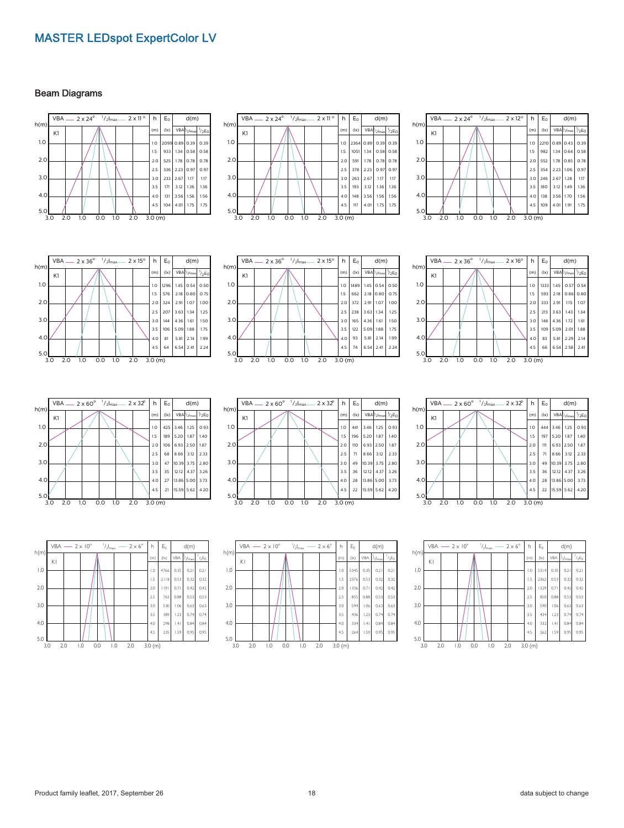#### Beam Diagrams

















 $5.0$   $L_{3.0}$ 3.0 2.0 1.0 0.0 1.0 2.0 3.0 (m)





h(m)  $(x)$  VBA /2Imax  $1/2E_0$  $E_0$  d(m) K1 1.0  $2.0$ 3.0 4.0  $5.0$ 3.0 2.0 1.0 0.0 1.0 2.0 3.0 (m) 1.0 444 3.46 1.25 0.93 1.5 197 5.20 1.87 1.40 2.0 111 6.93 2.50 1.87 2.5 71 8.66 3.12 2.33 3.0 49 10.39 3.75 2.80 3.5 36 12.12 4.37 3.26 4.0 28 13.86 5.00 3.73 4.5 22 15.59 5.62 4.20  $2 \times 32^{\circ}$  $VBA$  2 x 60<sup>o</sup>  $1/2$ <sub>max</sub>



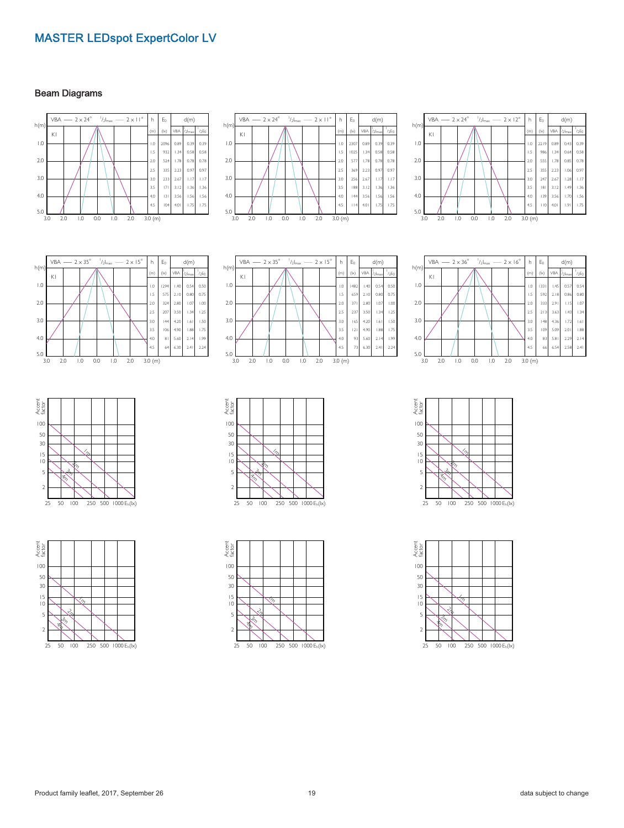#### Beam Diagrams



























 $\frac{5.0}{3.0}$ 3.0 2.0 1.0 0.0 1.0 2.0 3.0 (m)